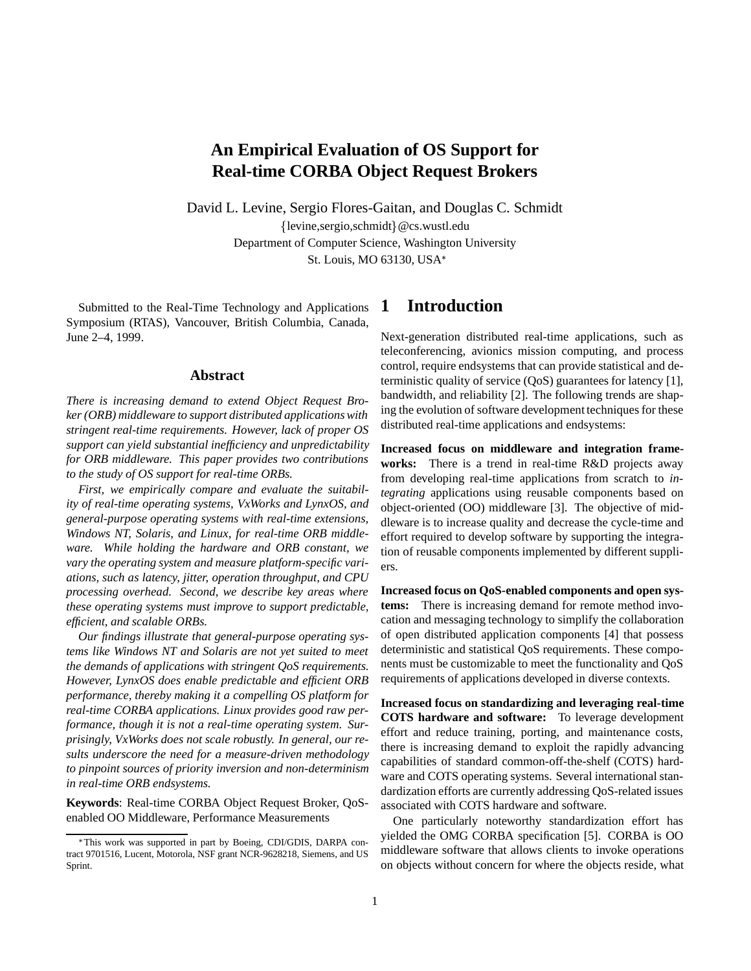# **An Empirical Evaluation of OS Support for Real-time CORBA Object Request Brokers**

David L. Levine, Sergio Flores-Gaitan, and Douglas C. Schmidt  ${levine, sergio, schmidt} @cs.wust.$ edu Department of Computer Science, Washington University

St. Louis, MO 63130, USA

Submitted to the Real-Time Technology and Applications Symposium (RTAS), Vancouver, British Columbia, Canada, June 2–4, 1999.

### **Abstract**

*There is increasing demand to extend Object Request Broker (ORB) middleware to support distributed applications with stringent real-time requirements. However, lack of proper OS support can yield substantial inefficiency and unpredictability for ORB middleware. This paper provides two contributions to the study of OS support for real-time ORBs.*

*First, we empirically compare and evaluate the suitability of real-time operating systems, VxWorks and LynxOS, and general-purpose operating systems with real-time extensions, Windows NT, Solaris, and Linux, for real-time ORB middleware. While holding the hardware and ORB constant, we vary the operating system and measure platform-specific variations, such as latency, jitter, operation throughput, and CPU processing overhead. Second, we describe key areas where these operating systems must improve to support predictable, efficient, and scalable ORBs.*

*Our findings illustrate that general-purpose operating systems like Windows NT and Solaris are not yet suited to meet the demands of applications with stringent QoS requirements. However, LynxOS does enable predictable and efficient ORB performance, thereby making it a compelling OS platform for real-time CORBA applications. Linux provides good raw performance, though it is not a real-time operating system. Surprisingly, VxWorks does not scale robustly. In general, our results underscore the need for a measure-driven methodology to pinpoint sources of priority inversion and non-determinism in real-time ORB endsystems.*

**Keywords**: Real-time CORBA Object Request Broker, QoSenabled OO Middleware, Performance Measurements

# **1 Introduction**

Next-generation distributed real-time applications, such as teleconferencing, avionics mission computing, and process control, require endsystems that can provide statistical and deterministic quality of service (QoS) guarantees for latency [1], bandwidth, and reliability [2]. The following trends are shaping the evolution of software development techniques for these distributed real-time applications and endsystems:

**Increased focus on middleware and integration frameworks:** There is a trend in real-time R&D projects away from developing real-time applications from scratch to *integrating* applications using reusable components based on object-oriented (OO) middleware [3]. The objective of middleware is to increase quality and decrease the cycle-time and effort required to develop software by supporting the integration of reusable components implemented by different suppliers.

**Increased focus on QoS-enabled components and open systems:** There is increasing demand for remote method invocation and messaging technology to simplify the collaboration of open distributed application components [4] that possess deterministic and statistical QoS requirements. These components must be customizable to meet the functionality and QoS requirements of applications developed in diverse contexts.

**Increased focus on standardizing and leveraging real-time COTS hardware and software:** To leverage development effort and reduce training, porting, and maintenance costs, there is increasing demand to exploit the rapidly advancing capabilities of standard common-off-the-shelf (COTS) hardware and COTS operating systems. Several international standardization efforts are currently addressing QoS-related issues associated with COTS hardware and software.

One particularly noteworthy standardization effort has yielded the OMG CORBA specification [5]. CORBA is OO middleware software that allows clients to invoke operations on objects without concern for where the objects reside, what

This work was supported in part by Boeing, CDI/GDIS, DARPA contract 9701516, Lucent, Motorola, NSF grant NCR-9628218, Siemens, and US Sprint.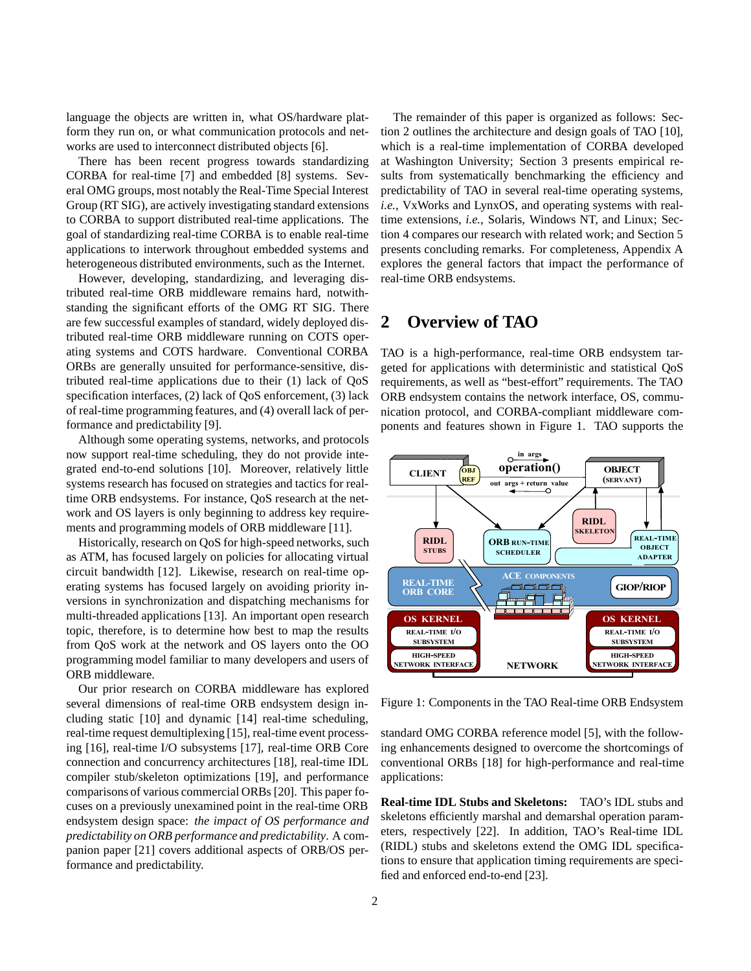language the objects are written in, what OS/hardware platform they run on, or what communication protocols and networks are used to interconnect distributed objects [6].

There has been recent progress towards standardizing CORBA for real-time [7] and embedded [8] systems. Several OMG groups, most notably the Real-Time Special Interest Group (RT SIG), are actively investigating standard extensions to CORBA to support distributed real-time applications. The goal of standardizing real-time CORBA is to enable real-time applications to interwork throughout embedded systems and heterogeneous distributed environments, such as the Internet.

However, developing, standardizing, and leveraging distributed real-time ORB middleware remains hard, notwithstanding the significant efforts of the OMG RT SIG. There are few successful examples of standard, widely deployed distributed real-time ORB middleware running on COTS operating systems and COTS hardware. Conventional CORBA ORBs are generally unsuited for performance-sensitive, distributed real-time applications due to their (1) lack of QoS specification interfaces, (2) lack of QoS enforcement, (3) lack of real-time programming features, and (4) overall lack of performance and predictability [9].

Although some operating systems, networks, and protocols now support real-time scheduling, they do not provide integrated end-to-end solutions [10]. Moreover, relatively little systems research has focused on strategies and tactics for realtime ORB endsystems. For instance, QoS research at the network and OS layers is only beginning to address key requirements and programming models of ORB middleware [11].

Historically, research on QoS for high-speed networks, such as ATM, has focused largely on policies for allocating virtual circuit bandwidth [12]. Likewise, research on real-time operating systems has focused largely on avoiding priority inversions in synchronization and dispatching mechanisms for multi-threaded applications [13]. An important open research topic, therefore, is to determine how best to map the results from QoS work at the network and OS layers onto the OO programming model familiar to many developers and users of ORB middleware.

Our prior research on CORBA middleware has explored several dimensions of real-time ORB endsystem design including static [10] and dynamic [14] real-time scheduling, real-time request demultiplexing [15], real-time event processing [16], real-time I/O subsystems [17], real-time ORB Core connection and concurrency architectures [18], real-time IDL compiler stub/skeleton optimizations [19], and performance comparisons of various commercial ORBs [20]. This paper focuses on a previously unexamined point in the real-time ORB endsystem design space: *the impact of OS performance and predictability on ORB performance and predictability*. A companion paper [21] covers additional aspects of ORB/OS performance and predictability.

The remainder of this paper is organized as follows: Section 2 outlines the architecture and design goals of TAO [10], which is a real-time implementation of CORBA developed at Washington University; Section 3 presents empirical results from systematically benchmarking the efficiency and predictability of TAO in several real-time operating systems, *i.e.*, VxWorks and LynxOS, and operating systems with realtime extensions, *i.e.*, Solaris, Windows NT, and Linux; Section 4 compares our research with related work; and Section 5 presents concluding remarks. For completeness, Appendix A explores the general factors that impact the performance of real-time ORB endsystems.

## **2 Overview of TAO**

TAO is a high-performance, real-time ORB endsystem targeted for applications with deterministic and statistical QoS requirements, as well as "best-effort" requirements. The TAO ORB endsystem contains the network interface, OS, communication protocol, and CORBA-compliant middleware components and features shown in Figure 1. TAO supports the



Figure 1: Components in the TAO Real-time ORB Endsystem

standard OMG CORBA reference model [5], with the following enhancements designed to overcome the shortcomings of conventional ORBs [18] for high-performance and real-time applications:

**Real-time IDL Stubs and Skeletons:** TAO's IDL stubs and skeletons efficiently marshal and demarshal operation parameters, respectively [22]. In addition, TAO's Real-time IDL (RIDL) stubs and skeletons extend the OMG IDL specifications to ensure that application timing requirements are specified and enforced end-to-end [23].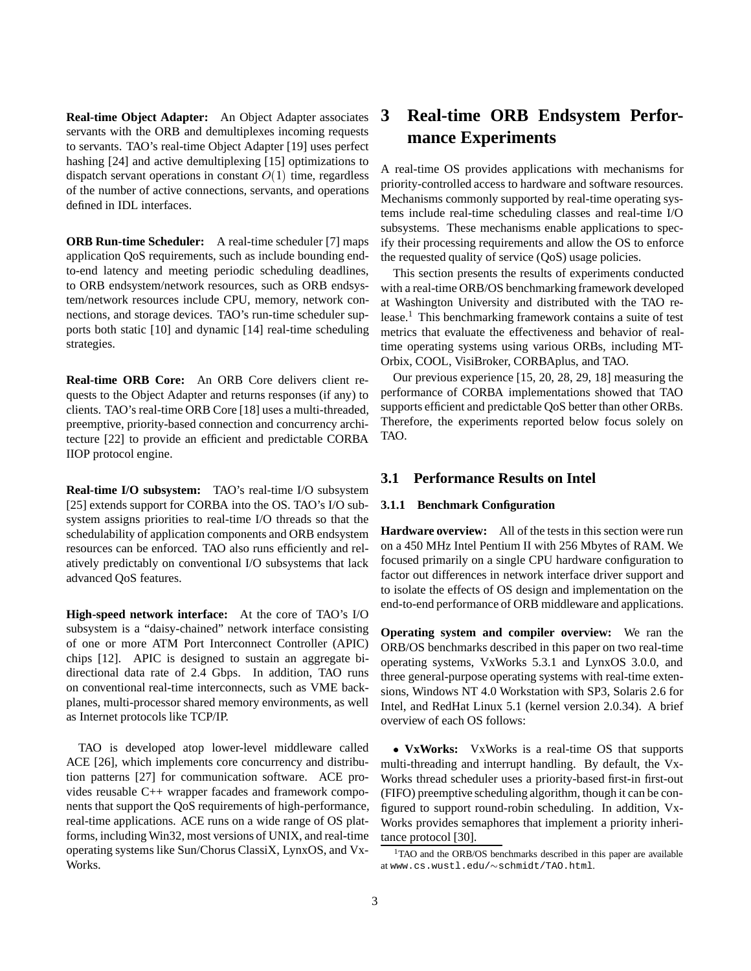**Real-time Object Adapter:** An Object Adapter associates servants with the ORB and demultiplexes incoming requests to servants. TAO's real-time Object Adapter [19] uses perfect hashing [24] and active demultiplexing [15] optimizations to dispatch servant operations in constant  $O(1)$  time, regardless of the number of active connections, servants, and operations defined in IDL interfaces.

**ORB Run-time Scheduler:** A real-time scheduler [7] maps application QoS requirements, such as include bounding endto-end latency and meeting periodic scheduling deadlines, to ORB endsystem/network resources, such as ORB endsystem/network resources include CPU, memory, network connections, and storage devices. TAO's run-time scheduler supports both static [10] and dynamic [14] real-time scheduling strategies.

**Real-time ORB Core:** An ORB Core delivers client requests to the Object Adapter and returns responses (if any) to clients. TAO's real-time ORB Core [18] uses a multi-threaded, preemptive, priority-based connection and concurrency architecture [22] to provide an efficient and predictable CORBA IIOP protocol engine.

**Real-time I/O subsystem:** TAO's real-time I/O subsystem [25] extends support for CORBA into the OS. TAO's I/O subsystem assigns priorities to real-time I/O threads so that the schedulability of application components and ORB endsystem resources can be enforced. TAO also runs efficiently and relatively predictably on conventional I/O subsystems that lack advanced QoS features.

**High-speed network interface:** At the core of TAO's I/O subsystem is a "daisy-chained" network interface consisting of one or more ATM Port Interconnect Controller (APIC) chips [12]. APIC is designed to sustain an aggregate bidirectional data rate of 2.4 Gbps. In addition, TAO runs on conventional real-time interconnects, such as VME backplanes, multi-processor shared memory environments, as well as Internet protocols like TCP/IP.

TAO is developed atop lower-level middleware called ACE [26], which implements core concurrency and distribution patterns [27] for communication software. ACE provides reusable C++ wrapper facades and framework components that support the QoS requirements of high-performance, real-time applications. ACE runs on a wide range of OS platforms, including Win32, most versions of UNIX, and real-time operating systems like Sun/Chorus ClassiX, LynxOS, and Vx-Works.

# **3 Real-time ORB Endsystem Performance Experiments**

A real-time OS provides applications with mechanisms for priority-controlled access to hardware and software resources. Mechanisms commonly supported by real-time operating systems include real-time scheduling classes and real-time I/O subsystems. These mechanisms enable applications to specify their processing requirements and allow the OS to enforce the requested quality of service (QoS) usage policies.

This section presents the results of experiments conducted with a real-time ORB/OS benchmarking framework developed at Washington University and distributed with the TAO release.1 This benchmarking framework contains a suite of test metrics that evaluate the effectiveness and behavior of realtime operating systems using various ORBs, including MT-Orbix, COOL, VisiBroker, CORBAplus, and TAO.

Our previous experience [15, 20, 28, 29, 18] measuring the performance of CORBA implementations showed that TAO supports efficient and predictable QoS better than other ORBs. Therefore, the experiments reported below focus solely on TAO.

### **3.1 Performance Results on Intel**

### **3.1.1 Benchmark Configuration**

**Hardware overview:** All of the tests in this section were run on a 450 MHz Intel Pentium II with 256 Mbytes of RAM. We focused primarily on a single CPU hardware configuration to factor out differences in network interface driver support and to isolate the effects of OS design and implementation on the end-to-end performance of ORB middleware and applications.

**Operating system and compiler overview:** We ran the ORB/OS benchmarks described in this paper on two real-time operating systems, VxWorks 5.3.1 and LynxOS 3.0.0, and three general-purpose operating systems with real-time extensions, Windows NT 4.0 Workstation with SP3, Solaris 2.6 for Intel, and RedHat Linux 5.1 (kernel version 2.0.34). A brief overview of each OS follows:

 **VxWorks:** VxWorks is a real-time OS that supports multi-threading and interrupt handling. By default, the Vx-Works thread scheduler uses a priority-based first-in first-out (FIFO) preemptive scheduling algorithm, though it can be configured to support round-robin scheduling. In addition, Vx-Works provides semaphores that implement a priority inheritance protocol [30].

<sup>&</sup>lt;sup>1</sup>TAO and the ORB/OS benchmarks described in this paper are available at www.cs.wustl.edu/ $\sim$ schmidt/TAO.html.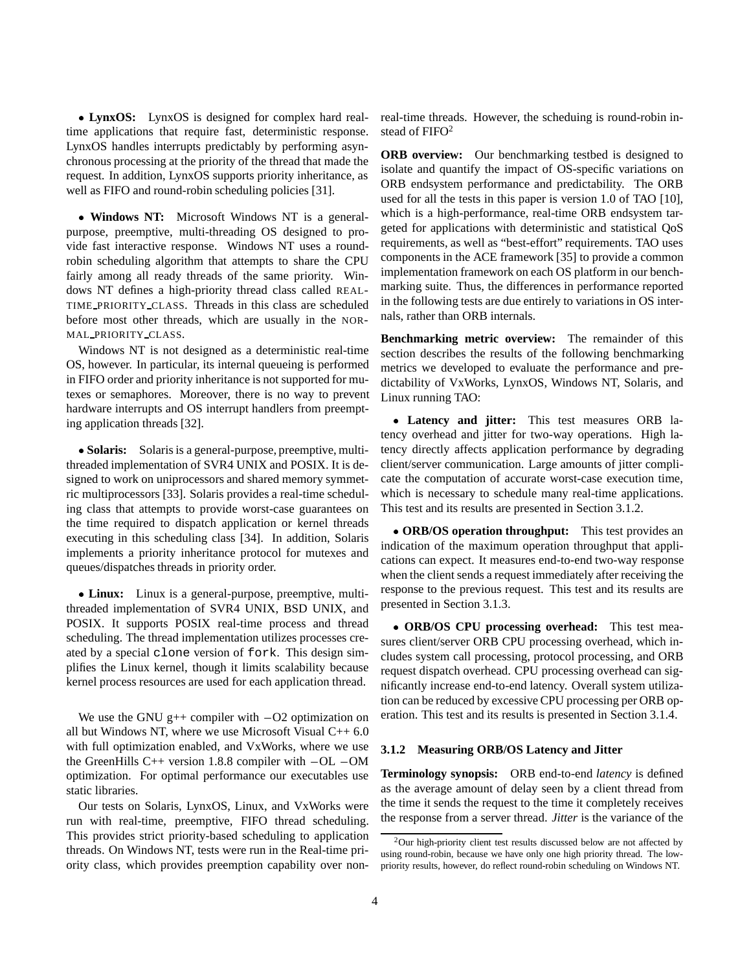**LynxOS:** LynxOS is designed for complex hard realtime applications that require fast, deterministic response. LynxOS handles interrupts predictably by performing asynchronous processing at the priority of the thread that made the request. In addition, LynxOS supports priority inheritance, as well as FIFO and round-robin scheduling policies [31].

 **Windows NT:** Microsoft Windows NT is a generalpurpose, preemptive, multi-threading OS designed to provide fast interactive response. Windows NT uses a roundrobin scheduling algorithm that attempts to share the CPU fairly among all ready threads of the same priority. Windows NT defines a high-priority thread class called REAL-TIME PRIORITY CLASS. Threads in this class are scheduled before most other threads, which are usually in the NOR-MAL PRIORITY CLASS.

Windows NT is not designed as a deterministic real-time OS, however. In particular, its internal queueing is performed in FIFO order and priority inheritance is not supported for mutexes or semaphores. Moreover, there is no way to prevent hardware interrupts and OS interrupt handlers from preempting application threads [32].

 **Solaris:** Solaris is a general-purpose, preemptive, multithreaded implementation of SVR4 UNIX and POSIX. It is designed to work on uniprocessors and shared memory symmetric multiprocessors [33]. Solaris provides a real-time scheduling class that attempts to provide worst-case guarantees on the time required to dispatch application or kernel threads executing in this scheduling class [34]. In addition, Solaris implements a priority inheritance protocol for mutexes and queues/dispatches threads in priority order.

 **Linux:** Linux is a general-purpose, preemptive, multithreaded implementation of SVR4 UNIX, BSD UNIX, and POSIX. It supports POSIX real-time process and thread scheduling. The thread implementation utilizes processes created by a special clone version of fork. This design simplifies the Linux kernel, though it limits scalability because kernel process resources are used for each application thread.

We use the GNU  $g++$  compiler with  $-O2$  optimization on all but Windows NT, where we use Microsoft Visual  $C_{++}$  6.0 with full optimization enabled, and VxWorks, where we use the GreenHills C++ version 1.8.8 compiler with  $-OL -OM$ optimization. For optimal performance our executables use static libraries.

Our tests on Solaris, LynxOS, Linux, and VxWorks were run with real-time, preemptive, FIFO thread scheduling. This provides strict priority-based scheduling to application threads. On Windows NT, tests were run in the Real-time priority class, which provides preemption capability over nonreal-time threads. However, the scheduing is round-robin instead of FIFO<sup>2</sup>

**ORB overview:** Our benchmarking testbed is designed to isolate and quantify the impact of OS-specific variations on ORB endsystem performance and predictability. The ORB used for all the tests in this paper is version 1.0 of TAO [10], which is a high-performance, real-time ORB endsystem targeted for applications with deterministic and statistical QoS requirements, as well as "best-effort" requirements. TAO uses components in the ACE framework [35] to provide a common implementation framework on each OS platform in our benchmarking suite. Thus, the differences in performance reported in the following tests are due entirely to variations in OS internals, rather than ORB internals.

**Benchmarking metric overview:** The remainder of this section describes the results of the following benchmarking metrics we developed to evaluate the performance and predictability of VxWorks, LynxOS, Windows NT, Solaris, and Linux running TAO:

 **Latency and jitter:** This test measures ORB latency overhead and jitter for two-way operations. High latency directly affects application performance by degrading client/server communication. Large amounts of jitter complicate the computation of accurate worst-case execution time, which is necessary to schedule many real-time applications. This test and its results are presented in Section 3.1.2.

 **ORB/OS operation throughput:** This test provides an indication of the maximum operation throughput that applications can expect. It measures end-to-end two-way response when the client sends a request immediately after receiving the response to the previous request. This test and its results are presented in Section 3.1.3.

 **ORB/OS CPU processing overhead:** This test measures client/server ORB CPU processing overhead, which includes system call processing, protocol processing, and ORB request dispatch overhead. CPU processing overhead can significantly increase end-to-end latency. Overall system utilization can be reduced by excessive CPU processing per ORB operation. This test and its results is presented in Section 3.1.4.

### **3.1.2 Measuring ORB/OS Latency and Jitter**

**Terminology synopsis:** ORB end-to-end *latency* is defined as the average amount of delay seen by a client thread from the time it sends the request to the time it completely receives the response from a server thread. *Jitter* is the variance of the

<sup>2</sup>Our high-priority client test results discussed below are not affected by using round-robin, because we have only one high priority thread. The lowpriority results, however, do reflect round-robin scheduling on Windows NT.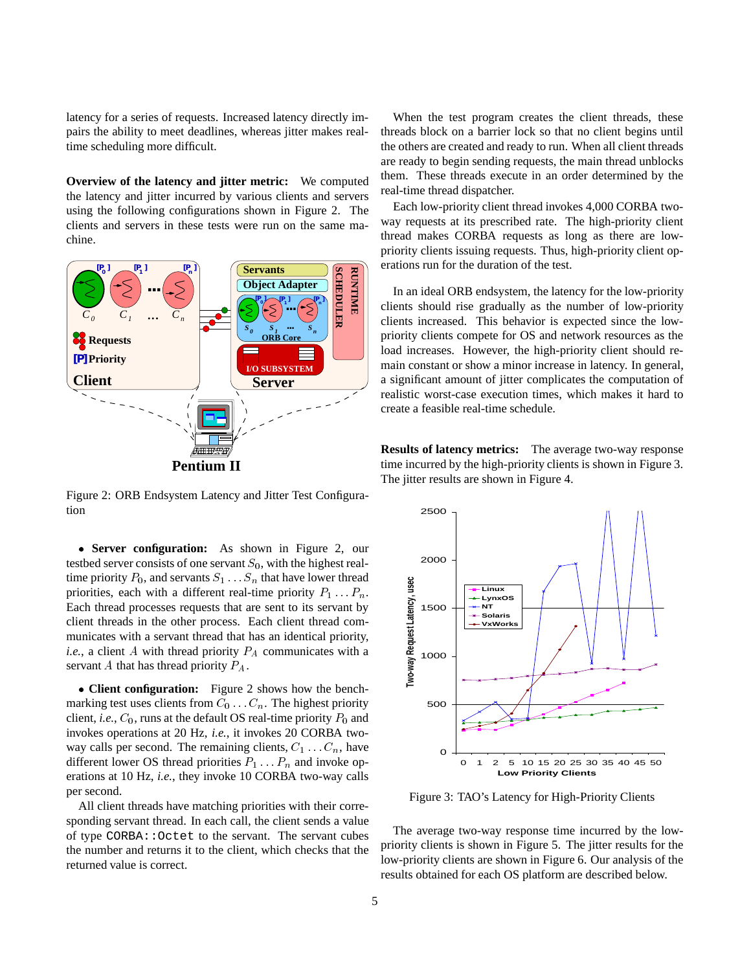latency for a series of requests. Increased latency directly impairs the ability to meet deadlines, whereas jitter makes realtime scheduling more difficult.

**Overview of the latency and jitter metric:** We computed the latency and jitter incurred by various clients and servers using the following configurations shown in Figure 2. The clients and servers in these tests were run on the same machine.



Figure 2: ORB Endsystem Latency and Jitter Test Configuration

 **Server configuration:** As shown in Figure 2, our testbed server consists of one servant  $S_0$ , with the highest realtime priority  $P_0$ , and servants  $S_1 \ldots S_n$  that have lower thread priorities, each with a different real-time priority  $P_1 \ldots P_n$ . Each thread processes requests that are sent to its servant by client threads in the other process. Each client thread communicates with a servant thread that has an identical priority, *i.e.*, a client A with thread priority  $P_A$  communicates with a servant A that has thread priority  $P_A$ .

 **Client configuration:** Figure 2 shows how the benchmarking test uses clients from  $C_0 \ldots C_n$ . The highest priority client, *i.e.*,  $C_0$ , runs at the default OS real-time priority  $P_0$  and invokes operations at 20 Hz, *i.e.*, it invokes 20 CORBA twoway calls per second. The remaining clients,  $C_1 \ldots C_n$ , have different lower OS thread priorities  $P_1 \ldots P_n$  and invoke operations at 10 Hz, *i.e.*, they invoke 10 CORBA two-way calls per second.

All client threads have matching priorities with their corresponding servant thread. In each call, the client sends a value of type CORBA::Octet to the servant. The servant cubes the number and returns it to the client, which checks that the returned value is correct.

When the test program creates the client threads, these threads block on a barrier lock so that no client begins until the others are created and ready to run. When all client threads are ready to begin sending requests, the main thread unblocks them. These threads execute in an order determined by the real-time thread dispatcher.

Each low-priority client thread invokes 4,000 CORBA twoway requests at its prescribed rate. The high-priority client thread makes CORBA requests as long as there are lowpriority clients issuing requests. Thus, high-priority client operations run for the duration of the test.

In an ideal ORB endsystem, the latency for the low-priority clients should rise gradually as the number of low-priority clients increased. This behavior is expected since the lowpriority clients compete for OS and network resources as the load increases. However, the high-priority client should remain constant or show a minor increase in latency. In general, a significant amount of jitter complicates the computation of realistic worst-case execution times, which makes it hard to create a feasible real-time schedule.

**Results of latency metrics:** The average two-way response time incurred by the high-priority clients is shown in Figure 3. The jitter results are shown in Figure 4.



Figure 3: TAO's Latency for High-Priority Clients

The average two-way response time incurred by the lowpriority clients is shown in Figure 5. The jitter results for the low-priority clients are shown in Figure 6. Our analysis of the results obtained for each OS platform are described below.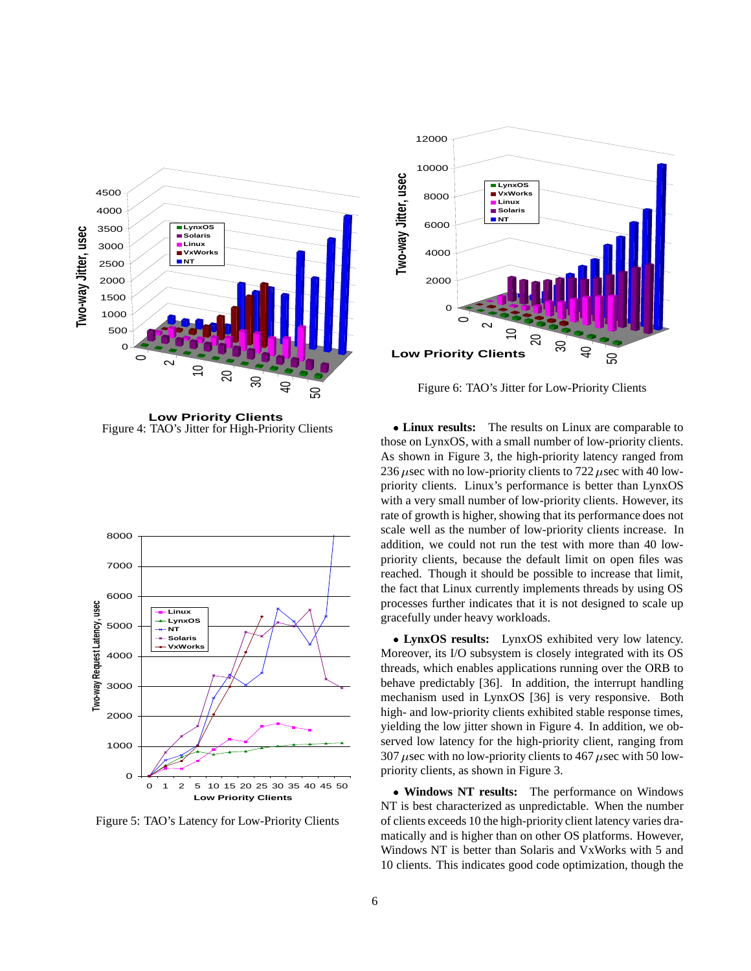

**Low Priority Clients** Figure 4: TAO's Jitter for High-Priority Clients



Figure 5: TAO's Latency for Low-Priority Clients



Figure 6: TAO's Jitter for Low-Priority Clients

 **Linux results:** The results on Linux are comparable to those on LynxOS, with a small number of low-priority clients. As shown in Figure 3, the high-priority latency ranged from 236  $\mu$ sec with no low-priority clients to 722  $\mu$ sec with 40 lowpriority clients. Linux's performance is better than LynxOS with a very small number of low-priority clients. However, its rate of growth is higher, showing that its performance does not scale well as the number of low-priority clients increase. In addition, we could not run the test with more than 40 lowpriority clients, because the default limit on open files was reached. Though it should be possible to increase that limit, the fact that Linux currently implements threads by using OS processes further indicates that it is not designed to scale up gracefully under heavy workloads.

 **LynxOS results:** LynxOS exhibited very low latency. Moreover, its I/O subsystem is closely integrated with its OS threads, which enables applications running over the ORB to behave predictably [36]. In addition, the interrupt handling mechanism used in LynxOS [36] is very responsive. Both high- and low-priority clients exhibited stable response times, yielding the low jitter shown in Figure 4. In addition, we observed low latency for the high-priority client, ranging from 307  $\mu$ sec with no low-priority clients to 467  $\mu$ sec with 50 lowpriority clients, as shown in Figure 3.

 **Windows NT results:** The performance on Windows NT is best characterized as unpredictable. When the number of clients exceeds 10 the high-priority client latency varies dramatically and is higher than on other OS platforms. However, Windows NT is better than Solaris and VxWorks with 5 and 10 clients. This indicates good code optimization, though the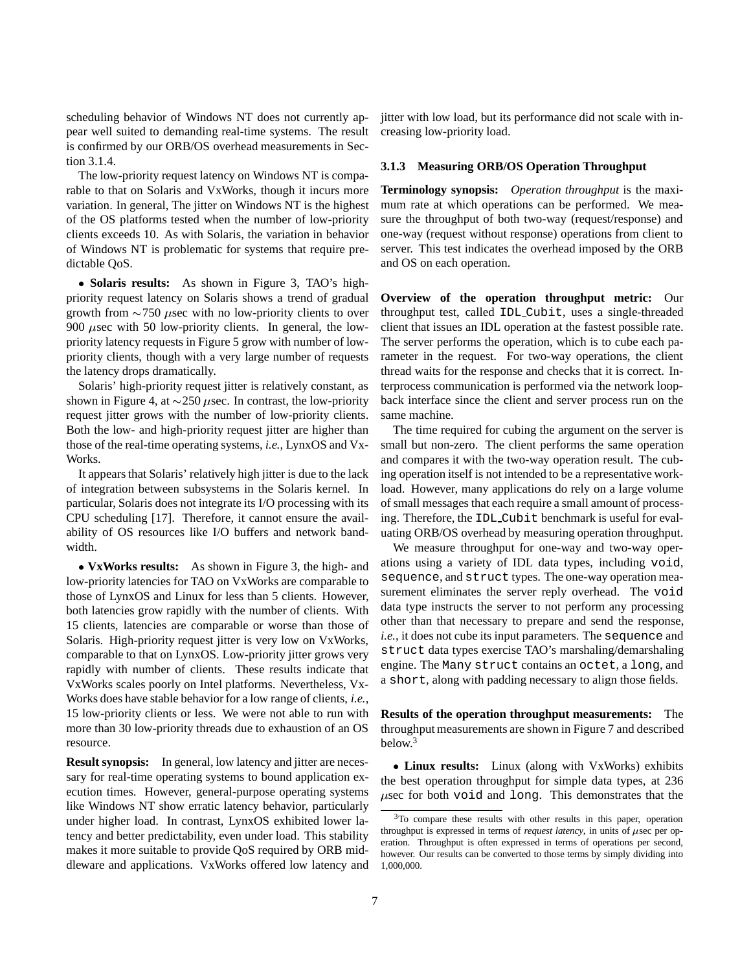scheduling behavior of Windows NT does not currently appear well suited to demanding real-time systems. The result is confirmed by our ORB/OS overhead measurements in Section 3.1.4.

The low-priority request latency on Windows NT is comparable to that on Solaris and VxWorks, though it incurs more variation. In general, The jitter on Windows NT is the highest of the OS platforms tested when the number of low-priority clients exceeds 10. As with Solaris, the variation in behavior of Windows NT is problematic for systems that require predictable QoS.

 **Solaris results:** As shown in Figure 3, TAO's highpriority request latency on Solaris shows a trend of gradual growth from  $\sim$ 750  $\mu$ sec with no low-priority clients to over 900  $\mu$ sec with 50 low-priority clients. In general, the lowpriority latency requests in Figure 5 grow with number of lowpriority clients, though with a very large number of requests the latency drops dramatically.

Solaris' high-priority request jitter is relatively constant, as shown in Figure 4, at  $\sim$ 250  $\mu$ sec. In contrast, the low-priority request jitter grows with the number of low-priority clients. Both the low- and high-priority request jitter are higher than those of the real-time operating systems, *i.e.*, LynxOS and Vx-Works.

It appears that Solaris' relatively high jitter is due to the lack of integration between subsystems in the Solaris kernel. In particular, Solaris does not integrate its I/O processing with its CPU scheduling [17]. Therefore, it cannot ensure the availability of OS resources like I/O buffers and network bandwidth.

 **VxWorks results:** As shown in Figure 3, the high- and low-priority latencies for TAO on VxWorks are comparable to those of LynxOS and Linux for less than 5 clients. However, both latencies grow rapidly with the number of clients. With 15 clients, latencies are comparable or worse than those of Solaris. High-priority request jitter is very low on VxWorks, comparable to that on LynxOS. Low-priority jitter grows very rapidly with number of clients. These results indicate that VxWorks scales poorly on Intel platforms. Nevertheless, Vx-Works does have stable behavior for a low range of clients, *i.e.*, 15 low-priority clients or less. We were not able to run with more than 30 low-priority threads due to exhaustion of an OS resource.

**Result synopsis:** In general, low latency and jitter are necessary for real-time operating systems to bound application execution times. However, general-purpose operating systems like Windows NT show erratic latency behavior, particularly under higher load. In contrast, LynxOS exhibited lower latency and better predictability, even under load. This stability makes it more suitable to provide QoS required by ORB middleware and applications. VxWorks offered low latency and jitter with low load, but its performance did not scale with increasing low-priority load.

#### **3.1.3 Measuring ORB/OS Operation Throughput**

**Terminology synopsis:** *Operation throughput* is the maximum rate at which operations can be performed. We measure the throughput of both two-way (request/response) and one-way (request without response) operations from client to server. This test indicates the overhead imposed by the ORB and OS on each operation.

**Overview of the operation throughput metric:** Our throughput test, called IDL Cubit, uses a single-threaded client that issues an IDL operation at the fastest possible rate. The server performs the operation, which is to cube each parameter in the request. For two-way operations, the client thread waits for the response and checks that it is correct. Interprocess communication is performed via the network loopback interface since the client and server process run on the same machine.

The time required for cubing the argument on the server is small but non-zero. The client performs the same operation and compares it with the two-way operation result. The cubing operation itself is not intended to be a representative workload. However, many applications do rely on a large volume of small messages that each require a small amount of processing. Therefore, the IDL Cubit benchmark is useful for evaluating ORB/OS overhead by measuring operation throughput.

We measure throughput for one-way and two-way operations using a variety of IDL data types, including void, sequence, and struct types. The one-way operation measurement eliminates the server reply overhead. The void data type instructs the server to not perform any processing other than that necessary to prepare and send the response, *i.e.*, it does not cube its input parameters. The sequence and struct data types exercise TAO's marshaling/demarshaling engine. The Many struct contains an octet, a long, and a short, along with padding necessary to align those fields.

**Results of the operation throughput measurements:** The throughput measurements are shown in Figure 7 and described below.3

 **Linux results:** Linux (along with VxWorks) exhibits the best operation throughput for simple data types, at 236  $\mu$ sec for both void and long. This demonstrates that the

<sup>&</sup>lt;sup>3</sup>To compare these results with other results in this paper, operation throughput is expressed in terms of *request latency*, in units of  $\mu$ sec per operation. Throughput is often expressed in terms of operations per second, however. Our results can be converted to those terms by simply dividing into 1,000,000.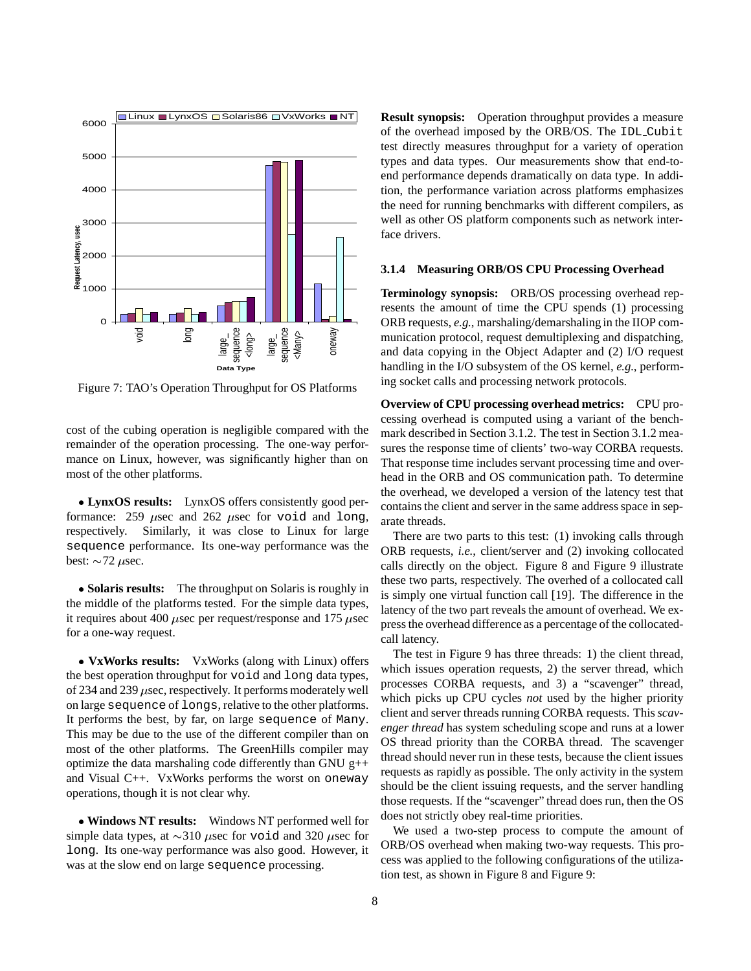

Figure 7: TAO's Operation Throughput for OS Platforms

cost of the cubing operation is negligible compared with the remainder of the operation processing. The one-way performance on Linux, however, was significantly higher than on most of the other platforms.

 **LynxOS results:** LynxOS offers consistently good performance:  $259$   $\mu$ sec and  $262$   $\mu$ sec for void and long, respectively. Similarly, it was close to Linux for large sequence performance. Its one-way performance was the best:  $\sim$ 72  $\mu$ sec.

 **Solaris results:** The throughput on Solaris is roughly in the middle of the platforms tested. For the simple data types, it requires about 400  $\mu$ sec per request/response and 175  $\mu$ sec for a one-way request.

 **VxWorks results:** VxWorks (along with Linux) offers the best operation throughput for void and long data types, of 234 and 239  $\mu$ sec, respectively. It performs moderately well on large sequence of longs, relative to the other platforms. It performs the best, by far, on large sequence of Many. This may be due to the use of the different compiler than on most of the other platforms. The GreenHills compiler may optimize the data marshaling code differently than GNU  $g++$ and Visual C++. VxWorks performs the worst on oneway operations, though it is not clear why.

 **Windows NT results:** Windows NT performed well for simple data types, at  $\sim$ 310  $\mu$ sec for void and 320  $\mu$ sec for long. Its one-way performance was also good. However, it was at the slow end on large sequence processing.

**Result synopsis:** Operation throughput provides a measure of the overhead imposed by the ORB/OS. The IDL Cubit test directly measures throughput for a variety of operation types and data types. Our measurements show that end-toend performance depends dramatically on data type. In addition, the performance variation across platforms emphasizes the need for running benchmarks with different compilers, as well as other OS platform components such as network interface drivers.

### **3.1.4 Measuring ORB/OS CPU Processing Overhead**

**Terminology synopsis:** ORB/OS processing overhead represents the amount of time the CPU spends (1) processing ORB requests, *e.g.*, marshaling/demarshaling in the IIOP communication protocol, request demultiplexing and dispatching, and data copying in the Object Adapter and (2) I/O request handling in the I/O subsystem of the OS kernel, *e.g.*, performing socket calls and processing network protocols.

**Overview of CPU processing overhead metrics:** CPU processing overhead is computed using a variant of the benchmark described in Section 3.1.2. The test in Section 3.1.2 measures the response time of clients' two-way CORBA requests. That response time includes servant processing time and overhead in the ORB and OS communication path. To determine the overhead, we developed a version of the latency test that contains the client and server in the same address space in separate threads.

There are two parts to this test: (1) invoking calls through ORB requests, *i.e.*, client/server and (2) invoking collocated calls directly on the object. Figure 8 and Figure 9 illustrate these two parts, respectively. The overhed of a collocated call is simply one virtual function call [19]. The difference in the latency of the two part reveals the amount of overhead. We express the overhead difference as a percentage of the collocatedcall latency.

The test in Figure 9 has three threads: 1) the client thread, which issues operation requests, 2) the server thread, which processes CORBA requests, and 3) a "scavenger" thread, which picks up CPU cycles *not* used by the higher priority client and server threads running CORBA requests. This *scavenger thread* has system scheduling scope and runs at a lower OS thread priority than the CORBA thread. The scavenger thread should never run in these tests, because the client issues requests as rapidly as possible. The only activity in the system should be the client issuing requests, and the server handling those requests. If the "scavenger" thread does run, then the OS does not strictly obey real-time priorities.

We used a two-step process to compute the amount of ORB/OS overhead when making two-way requests. This process was applied to the following configurations of the utilization test, as shown in Figure 8 and Figure 9: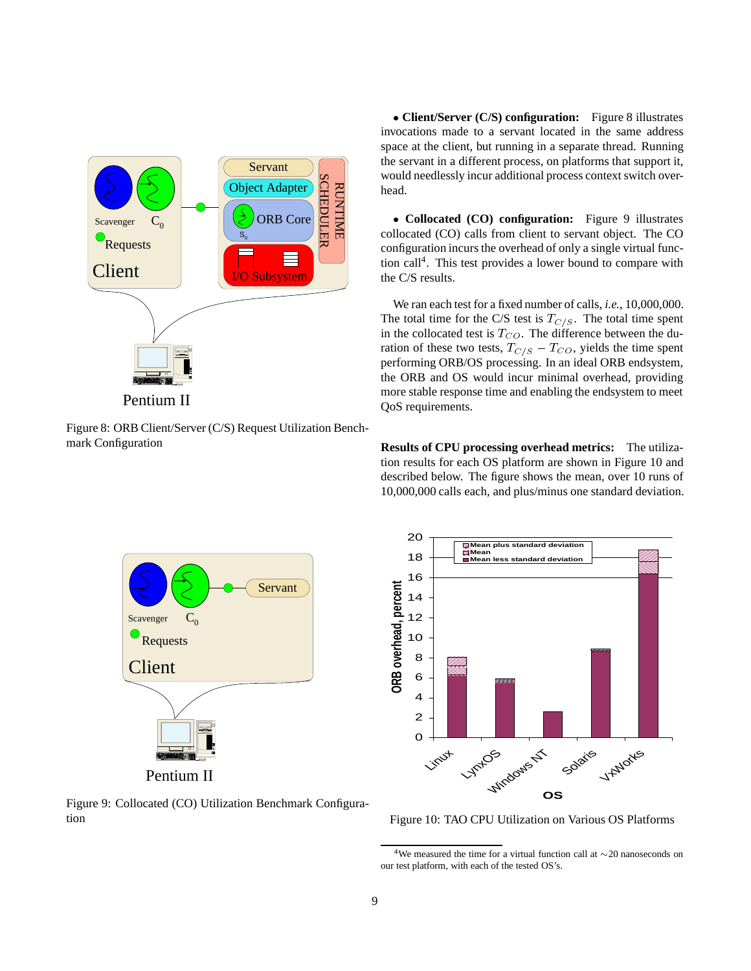

Figure 8: ORB Client/Server (C/S) Request Utilization Benchmark Configuration

 **Client/Server (C/S) configuration:** Figure 8 illustrates invocations made to a servant located in the same address space at the client, but running in a separate thread. Running the servant in a different process, on platforms that support it, would needlessly incur additional process context switch overhead.

 **Collocated (CO) configuration:** Figure 9 illustrates collocated (CO) calls from client to servant object. The CO configuration incurs the overhead of only a single virtual function call<sup>4</sup>. This test provides a lower bound to compare with the C/S results.

We ran each test for a fixed number of calls, *i.e.*, 10,000,000. The total time for the C/S test is  $T_{C/S}$ . The total time spent in the collocated test is  $T_{CO}$ . The difference between the duration of these two tests,  $T_{C/S}-T_{CO}$ , yields the time spent performing ORB/OS processing. In an ideal ORB endsystem, the ORB and OS would incur minimal overhead, providing more stable response time and enabling the endsystem to meet QoS requirements.

**Results of CPU processing overhead metrics:** The utilization results for each OS platform are shown in Figure 10 and described below. The figure shows the mean, over 10 runs of 10,000,000 calls each, and plus/minus one standard deviation.



Figure 10: TAO CPU Utilization on Various OS Platforms



Figure 9: Collocated (CO) Utilization Benchmark Configuration

<sup>&</sup>lt;sup>4</sup>We measured the time for a virtual function call at  $\sim$  20 nanoseconds on our test platform, with each of the tested OS's.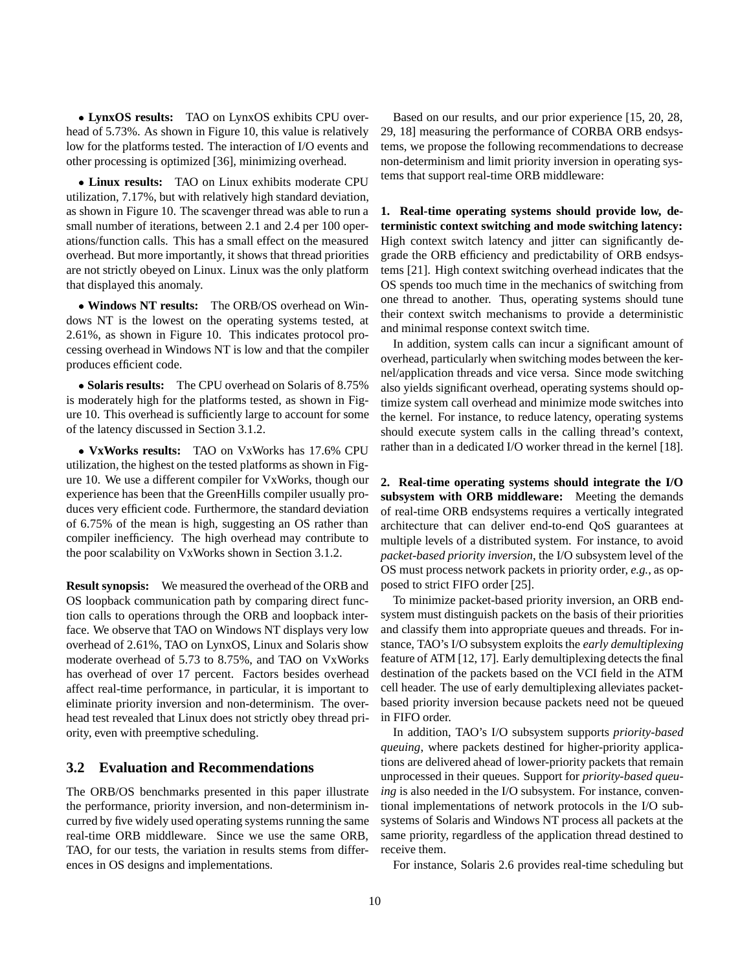**LynxOS results:** TAO on LynxOS exhibits CPU overhead of 5.73%. As shown in Figure 10, this value is relatively low for the platforms tested. The interaction of I/O events and other processing is optimized [36], minimizing overhead.

 **Linux results:** TAO on Linux exhibits moderate CPU utilization, 7.17%, but with relatively high standard deviation, as shown in Figure 10. The scavenger thread was able to run a small number of iterations, between 2.1 and 2.4 per 100 operations/function calls. This has a small effect on the measured overhead. But more importantly, it shows that thread priorities are not strictly obeyed on Linux. Linux was the only platform that displayed this anomaly.

 **Windows NT results:** The ORB/OS overhead on Windows NT is the lowest on the operating systems tested, at 2.61%, as shown in Figure 10. This indicates protocol processing overhead in Windows NT is low and that the compiler produces efficient code.

 **Solaris results:** The CPU overhead on Solaris of 8.75% is moderately high for the platforms tested, as shown in Figure 10. This overhead is sufficiently large to account for some of the latency discussed in Section 3.1.2.

 **VxWorks results:** TAO on VxWorks has 17.6% CPU utilization, the highest on the tested platforms as shown in Figure 10. We use a different compiler for VxWorks, though our experience has been that the GreenHills compiler usually produces very efficient code. Furthermore, the standard deviation of 6.75% of the mean is high, suggesting an OS rather than compiler inefficiency. The high overhead may contribute to the poor scalability on VxWorks shown in Section 3.1.2.

**Result synopsis:** We measured the overhead of the ORB and OS loopback communication path by comparing direct function calls to operations through the ORB and loopback interface. We observe that TAO on Windows NT displays very low overhead of 2.61%, TAO on LynxOS, Linux and Solaris show moderate overhead of 5.73 to 8.75%, and TAO on VxWorks has overhead of over 17 percent. Factors besides overhead affect real-time performance, in particular, it is important to eliminate priority inversion and non-determinism. The overhead test revealed that Linux does not strictly obey thread priority, even with preemptive scheduling.

### **3.2 Evaluation and Recommendations**

The ORB/OS benchmarks presented in this paper illustrate the performance, priority inversion, and non-determinism incurred by five widely used operating systems running the same real-time ORB middleware. Since we use the same ORB, TAO, for our tests, the variation in results stems from differences in OS designs and implementations.

Based on our results, and our prior experience [15, 20, 28, 29, 18] measuring the performance of CORBA ORB endsystems, we propose the following recommendations to decrease non-determinism and limit priority inversion in operating systems that support real-time ORB middleware:

**1. Real-time operating systems should provide low, deterministic context switching and mode switching latency:** High context switch latency and jitter can significantly degrade the ORB efficiency and predictability of ORB endsystems [21]. High context switching overhead indicates that the OS spends too much time in the mechanics of switching from one thread to another. Thus, operating systems should tune their context switch mechanisms to provide a deterministic and minimal response context switch time.

In addition, system calls can incur a significant amount of overhead, particularly when switching modes between the kernel/application threads and vice versa. Since mode switching also yields significant overhead, operating systems should optimize system call overhead and minimize mode switches into the kernel. For instance, to reduce latency, operating systems should execute system calls in the calling thread's context, rather than in a dedicated I/O worker thread in the kernel [18].

**2. Real-time operating systems should integrate the I/O subsystem with ORB middleware:** Meeting the demands of real-time ORB endsystems requires a vertically integrated architecture that can deliver end-to-end QoS guarantees at multiple levels of a distributed system. For instance, to avoid *packet-based priority inversion*, the I/O subsystem level of the OS must process network packets in priority order, *e.g.*, as opposed to strict FIFO order [25].

To minimize packet-based priority inversion, an ORB endsystem must distinguish packets on the basis of their priorities and classify them into appropriate queues and threads. For instance, TAO's I/O subsystem exploits the *early demultiplexing* feature of ATM [12, 17]. Early demultiplexing detects the final destination of the packets based on the VCI field in the ATM cell header. The use of early demultiplexing alleviates packetbased priority inversion because packets need not be queued in FIFO order.

In addition, TAO's I/O subsystem supports *priority-based queuing*, where packets destined for higher-priority applications are delivered ahead of lower-priority packets that remain unprocessed in their queues. Support for *priority-based queuing* is also needed in the I/O subsystem. For instance, conventional implementations of network protocols in the I/O subsystems of Solaris and Windows NT process all packets at the same priority, regardless of the application thread destined to receive them.

For instance, Solaris 2.6 provides real-time scheduling but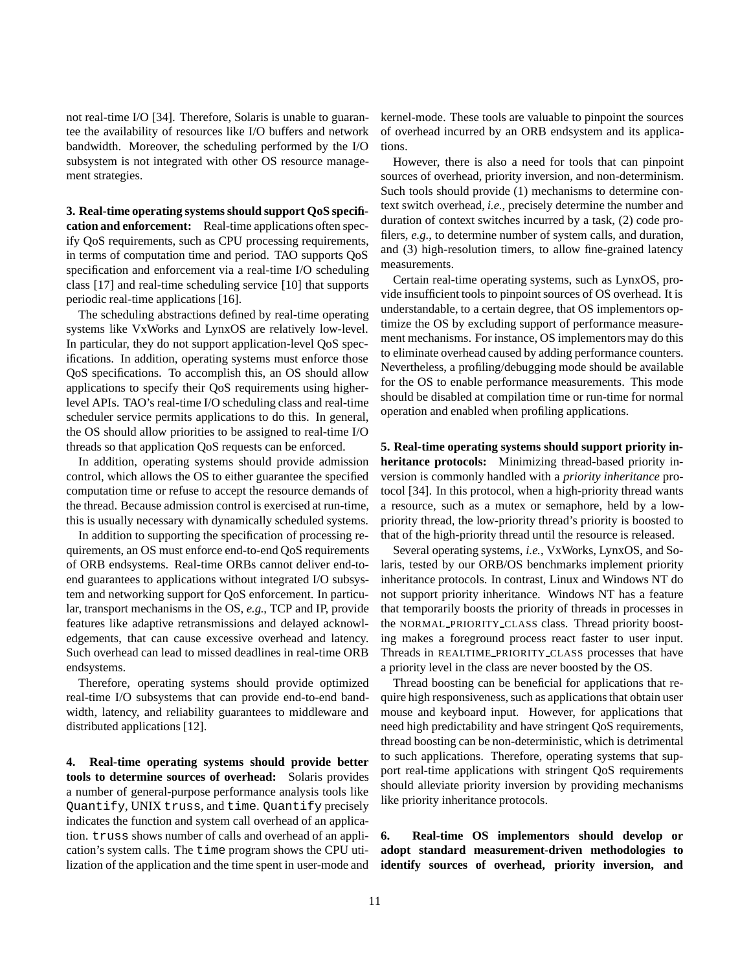not real-time I/O [34]. Therefore, Solaris is unable to guarantee the availability of resources like I/O buffers and network bandwidth. Moreover, the scheduling performed by the I/O subsystem is not integrated with other OS resource management strategies.

**3. Real-time operating systems should support QoS specification and enforcement:** Real-time applications often specify QoS requirements, such as CPU processing requirements, in terms of computation time and period. TAO supports QoS specification and enforcement via a real-time I/O scheduling class [17] and real-time scheduling service [10] that supports periodic real-time applications [16].

The scheduling abstractions defined by real-time operating systems like VxWorks and LynxOS are relatively low-level. In particular, they do not support application-level QoS specifications. In addition, operating systems must enforce those QoS specifications. To accomplish this, an OS should allow applications to specify their QoS requirements using higherlevel APIs. TAO's real-time I/O scheduling class and real-time scheduler service permits applications to do this. In general, the OS should allow priorities to be assigned to real-time I/O threads so that application QoS requests can be enforced.

In addition, operating systems should provide admission control, which allows the OS to either guarantee the specified computation time or refuse to accept the resource demands of the thread. Because admission control is exercised at run-time, this is usually necessary with dynamically scheduled systems.

In addition to supporting the specification of processing requirements, an OS must enforce end-to-end QoS requirements of ORB endsystems. Real-time ORBs cannot deliver end-toend guarantees to applications without integrated I/O subsystem and networking support for QoS enforcement. In particular, transport mechanisms in the OS, *e.g.*, TCP and IP, provide features like adaptive retransmissions and delayed acknowledgements, that can cause excessive overhead and latency. Such overhead can lead to missed deadlines in real-time ORB endsystems.

Therefore, operating systems should provide optimized real-time I/O subsystems that can provide end-to-end bandwidth, latency, and reliability guarantees to middleware and distributed applications [12].

**4. Real-time operating systems should provide better tools to determine sources of overhead:** Solaris provides a number of general-purpose performance analysis tools like Quantify, UNIX truss, and time. Quantify precisely indicates the function and system call overhead of an application. truss shows number of calls and overhead of an application's system calls. The time program shows the CPU utilization of the application and the time spent in user-mode and kernel-mode. These tools are valuable to pinpoint the sources of overhead incurred by an ORB endsystem and its applications.

However, there is also a need for tools that can pinpoint sources of overhead, priority inversion, and non-determinism. Such tools should provide (1) mechanisms to determine context switch overhead, *i.e.*, precisely determine the number and duration of context switches incurred by a task, (2) code profilers, *e.g.*, to determine number of system calls, and duration, and (3) high-resolution timers, to allow fine-grained latency measurements.

Certain real-time operating systems, such as LynxOS, provide insufficient tools to pinpoint sources of OS overhead. It is understandable, to a certain degree, that OS implementors optimize the OS by excluding support of performance measurement mechanisms. For instance, OS implementors may do this to eliminate overhead caused by adding performance counters. Nevertheless, a profiling/debugging mode should be available for the OS to enable performance measurements. This mode should be disabled at compilation time or run-time for normal operation and enabled when profiling applications.

**5. Real-time operating systems should support priority inheritance protocols:** Minimizing thread-based priority inversion is commonly handled with a *priority inheritance* protocol [34]. In this protocol, when a high-priority thread wants a resource, such as a mutex or semaphore, held by a lowpriority thread, the low-priority thread's priority is boosted to that of the high-priority thread until the resource is released.

Several operating systems, *i.e.*, VxWorks, LynxOS, and Solaris, tested by our ORB/OS benchmarks implement priority inheritance protocols. In contrast, Linux and Windows NT do not support priority inheritance. Windows NT has a feature that temporarily boosts the priority of threads in processes in the NORMAL PRIORITY CLASS class. Thread priority boosting makes a foreground process react faster to user input. Threads in REALTIME PRIORITY CLASS processes that have a priority level in the class are never boosted by the OS.

Thread boosting can be beneficial for applications that require high responsiveness, such as applications that obtain user mouse and keyboard input. However, for applications that need high predictability and have stringent QoS requirements, thread boosting can be non-deterministic, which is detrimental to such applications. Therefore, operating systems that support real-time applications with stringent QoS requirements should alleviate priority inversion by providing mechanisms like priority inheritance protocols.

**6. Real-time OS implementors should develop or adopt standard measurement-driven methodologies to identify sources of overhead, priority inversion, and**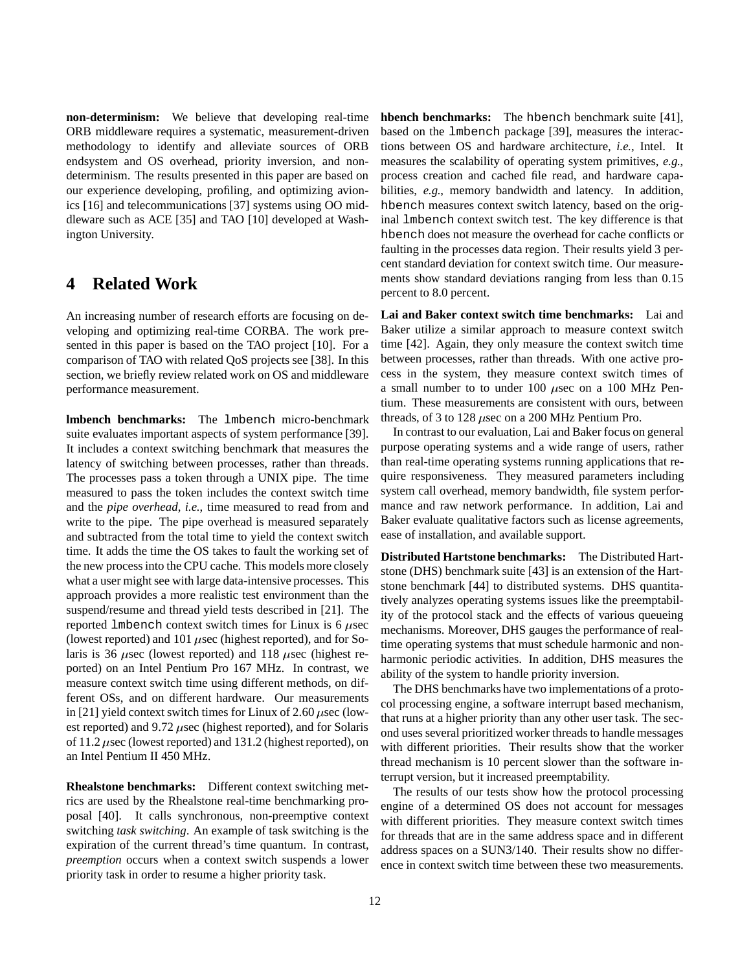**non-determinism:** We believe that developing real-time ORB middleware requires a systematic, measurement-driven methodology to identify and alleviate sources of ORB endsystem and OS overhead, priority inversion, and nondeterminism. The results presented in this paper are based on our experience developing, profiling, and optimizing avionics [16] and telecommunications [37] systems using OO middleware such as ACE [35] and TAO [10] developed at Washington University.

## **4 Related Work**

An increasing number of research efforts are focusing on developing and optimizing real-time CORBA. The work presented in this paper is based on the TAO project [10]. For a comparison of TAO with related QoS projects see [38]. In this section, we briefly review related work on OS and middleware performance measurement.

**lmbench benchmarks:** The lmbench micro-benchmark suite evaluates important aspects of system performance [39]. It includes a context switching benchmark that measures the latency of switching between processes, rather than threads. The processes pass a token through a UNIX pipe. The time measured to pass the token includes the context switch time and the *pipe overhead*, *i.e.*, time measured to read from and write to the pipe. The pipe overhead is measured separately and subtracted from the total time to yield the context switch time. It adds the time the OS takes to fault the working set of the new process into the CPU cache. This models more closely what a user might see with large data-intensive processes. This approach provides a more realistic test environment than the suspend/resume and thread yield tests described in [21]. The reported 1 mbench context switch times for Linux is  $6 \mu$ sec (lowest reported) and 101  $\mu$ sec (highest reported), and for Solaris is 36  $\mu$ sec (lowest reported) and 118  $\mu$ sec (highest reported) on an Intel Pentium Pro 167 MHz. In contrast, we measure context switch time using different methods, on different OSs, and on different hardware. Our measurements in [21] yield context switch times for Linux of 2.60  $\mu$ sec (lowest reported) and  $9.72 \mu$ sec (highest reported), and for Solaris of 11.2  $\mu$ sec (lowest reported) and 131.2 (highest reported), on an Intel Pentium II 450 MHz.

**Rhealstone benchmarks:** Different context switching metrics are used by the Rhealstone real-time benchmarking proposal [40]. It calls synchronous, non-preemptive context switching *task switching*. An example of task switching is the expiration of the current thread's time quantum. In contrast, *preemption* occurs when a context switch suspends a lower priority task in order to resume a higher priority task.

**hbench benchmarks:** The hbench benchmark suite [41], based on the lmbench package [39], measures the interactions between OS and hardware architecture, *i.e.*, Intel. It measures the scalability of operating system primitives, *e.g.*, process creation and cached file read, and hardware capabilities, *e.g.*, memory bandwidth and latency. In addition, hbench measures context switch latency, based on the original lmbench context switch test. The key difference is that hbench does not measure the overhead for cache conflicts or faulting in the processes data region. Their results yield 3 percent standard deviation for context switch time. Our measurements show standard deviations ranging from less than 0.15 percent to 8.0 percent.

**Lai and Baker context switch time benchmarks:** Lai and Baker utilize a similar approach to measure context switch time [42]. Again, they only measure the context switch time between processes, rather than threads. With one active process in the system, they measure context switch times of a small number to to under  $100 \mu$ sec on a  $100 \mu$ Hz Pentium. These measurements are consistent with ours, between threads, of 3 to 128  $\mu$ sec on a 200 MHz Pentium Pro.

In contrast to our evaluation, Lai and Baker focus on general purpose operating systems and a wide range of users, rather than real-time operating systems running applications that require responsiveness. They measured parameters including system call overhead, memory bandwidth, file system performance and raw network performance. In addition, Lai and Baker evaluate qualitative factors such as license agreements, ease of installation, and available support.

**Distributed Hartstone benchmarks:** The Distributed Hartstone (DHS) benchmark suite [43] is an extension of the Hartstone benchmark [44] to distributed systems. DHS quantitatively analyzes operating systems issues like the preemptability of the protocol stack and the effects of various queueing mechanisms. Moreover, DHS gauges the performance of realtime operating systems that must schedule harmonic and nonharmonic periodic activities. In addition, DHS measures the ability of the system to handle priority inversion.

The DHS benchmarks have two implementations of a protocol processing engine, a software interrupt based mechanism, that runs at a higher priority than any other user task. The second uses several prioritized worker threads to handle messages with different priorities. Their results show that the worker thread mechanism is 10 percent slower than the software interrupt version, but it increased preemptability.

The results of our tests show how the protocol processing engine of a determined OS does not account for messages with different priorities. They measure context switch times for threads that are in the same address space and in different address spaces on a SUN3/140. Their results show no difference in context switch time between these two measurements.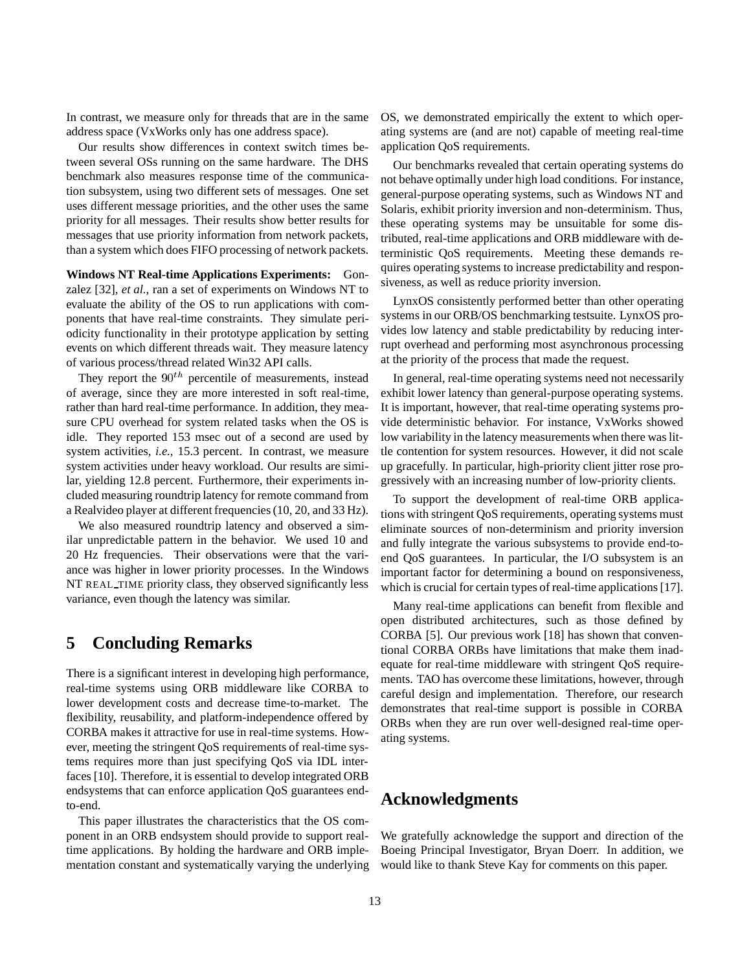In contrast, we measure only for threads that are in the same address space (VxWorks only has one address space).

Our results show differences in context switch times between several OSs running on the same hardware. The DHS benchmark also measures response time of the communication subsystem, using two different sets of messages. One set uses different message priorities, and the other uses the same priority for all messages. Their results show better results for messages that use priority information from network packets, than a system which does FIFO processing of network packets.

**Windows NT Real-time Applications Experiments:** Gonzalez [32], *et al.*, ran a set of experiments on Windows NT to evaluate the ability of the OS to run applications with components that have real-time constraints. They simulate periodicity functionality in their prototype application by setting events on which different threads wait. They measure latency of various process/thread related Win32 API calls.

They report the  $90<sup>th</sup>$  percentile of measurements, instead of average, since they are more interested in soft real-time, rather than hard real-time performance. In addition, they measure CPU overhead for system related tasks when the OS is idle. They reported 153 msec out of a second are used by system activities, *i.e.*, 15.3 percent. In contrast, we measure system activities under heavy workload. Our results are similar, yielding 12.8 percent. Furthermore, their experiments included measuring roundtrip latency for remote command from a Realvideo player at different frequencies (10, 20, and 33 Hz).

We also measured roundtrip latency and observed a similar unpredictable pattern in the behavior. We used 10 and 20 Hz frequencies. Their observations were that the variance was higher in lower priority processes. In the Windows NT REAL TIME priority class, they observed significantly less variance, even though the latency was similar.

## **5 Concluding Remarks**

There is a significant interest in developing high performance, real-time systems using ORB middleware like CORBA to lower development costs and decrease time-to-market. The flexibility, reusability, and platform-independence offered by CORBA makes it attractive for use in real-time systems. However, meeting the stringent QoS requirements of real-time systems requires more than just specifying QoS via IDL interfaces [10]. Therefore, it is essential to develop integrated ORB endsystems that can enforce application QoS guarantees endto-end.

This paper illustrates the characteristics that the OS component in an ORB endsystem should provide to support realtime applications. By holding the hardware and ORB implementation constant and systematically varying the underlying OS, we demonstrated empirically the extent to which operating systems are (and are not) capable of meeting real-time application QoS requirements.

Our benchmarks revealed that certain operating systems do not behave optimally under high load conditions. For instance, general-purpose operating systems, such as Windows NT and Solaris, exhibit priority inversion and non-determinism. Thus, these operating systems may be unsuitable for some distributed, real-time applications and ORB middleware with deterministic QoS requirements. Meeting these demands requires operating systems to increase predictability and responsiveness, as well as reduce priority inversion.

LynxOS consistently performed better than other operating systems in our ORB/OS benchmarking testsuite. LynxOS provides low latency and stable predictability by reducing interrupt overhead and performing most asynchronous processing at the priority of the process that made the request.

In general, real-time operating systems need not necessarily exhibit lower latency than general-purpose operating systems. It is important, however, that real-time operating systems provide deterministic behavior. For instance, VxWorks showed low variability in the latency measurements when there was little contention for system resources. However, it did not scale up gracefully. In particular, high-priority client jitter rose progressively with an increasing number of low-priority clients.

To support the development of real-time ORB applications with stringent QoS requirements, operating systems must eliminate sources of non-determinism and priority inversion and fully integrate the various subsystems to provide end-toend QoS guarantees. In particular, the I/O subsystem is an important factor for determining a bound on responsiveness, which is crucial for certain types of real-time applications [17].

Many real-time applications can benefit from flexible and open distributed architectures, such as those defined by CORBA [5]. Our previous work [18] has shown that conventional CORBA ORBs have limitations that make them inadequate for real-time middleware with stringent QoS requirements. TAO has overcome these limitations, however, through careful design and implementation. Therefore, our research demonstrates that real-time support is possible in CORBA ORBs when they are run over well-designed real-time operating systems.

## **Acknowledgments**

We gratefully acknowledge the support and direction of the Boeing Principal Investigator, Bryan Doerr. In addition, we would like to thank Steve Kay for comments on this paper.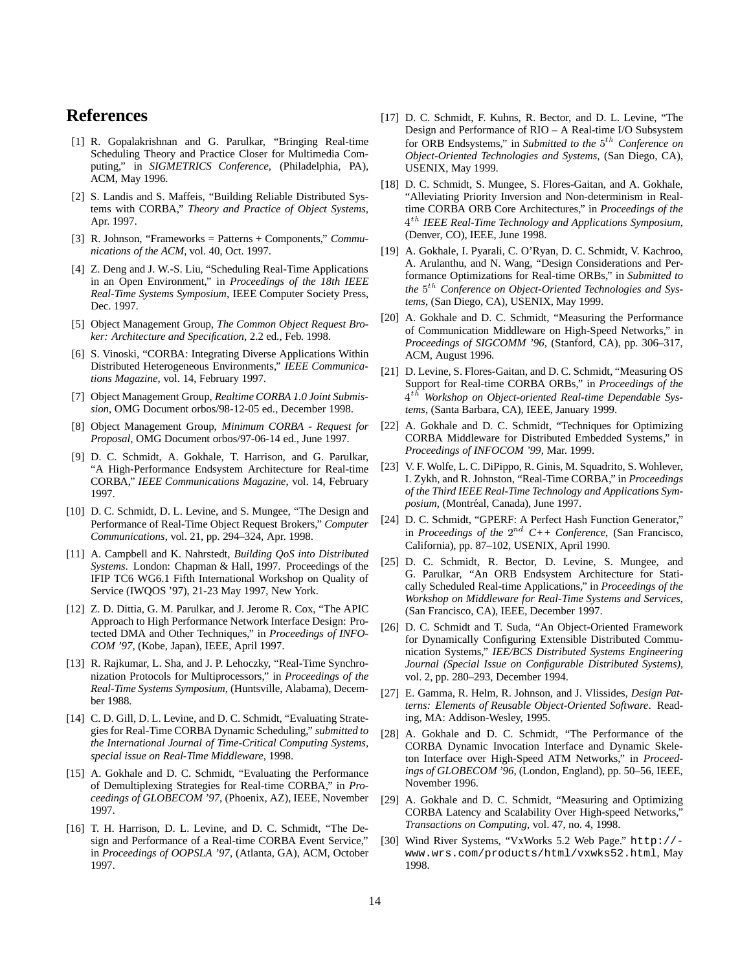## **References**

- [1] R. Gopalakrishnan and G. Parulkar, "Bringing Real-time Scheduling Theory and Practice Closer for Multimedia Computing," in *SIGMETRICS Conference*, (Philadelphia, PA), ACM, May 1996.
- [2] S. Landis and S. Maffeis, "Building Reliable Distributed Systems with CORBA," *Theory and Practice of Object Systems*, Apr. 1997.
- [3] R. Johnson, "Frameworks = Patterns + Components," *Communications of the ACM*, vol. 40, Oct. 1997.
- [4] Z. Deng and J. W.-S. Liu, "Scheduling Real-Time Applications in an Open Environment," in *Proceedings of the 18th IEEE Real-Time Systems Symposium*, IEEE Computer Society Press, Dec. 1997.
- [5] Object Management Group, *The Common Object Request Broker: Architecture and Specification*, 2.2 ed., Feb. 1998.
- [6] S. Vinoski, "CORBA: Integrating Diverse Applications Within Distributed Heterogeneous Environments," *IEEE Communications Magazine*, vol. 14, February 1997.
- [7] Object Management Group, *Realtime CORBA 1.0 Joint Submission*, OMG Document orbos/98-12-05 ed., December 1998.
- [8] Object Management Group, *Minimum CORBA Request for Proposal*, OMG Document orbos/97-06-14 ed., June 1997.
- [9] D. C. Schmidt, A. Gokhale, T. Harrison, and G. Parulkar, "A High-Performance Endsystem Architecture for Real-time CORBA," *IEEE Communications Magazine*, vol. 14, February 1997.
- [10] D. C. Schmidt, D. L. Levine, and S. Mungee, "The Design and Performance of Real-Time Object Request Brokers," *Computer Communications*, vol. 21, pp. 294–324, Apr. 1998.
- [11] A. Campbell and K. Nahrstedt, *Building QoS into Distributed Systems*. London: Chapman & Hall, 1997. Proceedings of the IFIP TC6 WG6.1 Fifth International Workshop on Quality of Service (IWQOS '97), 21-23 May 1997, New York.
- [12] Z. D. Dittia, G. M. Parulkar, and J. Jerome R. Cox, "The APIC Approach to High Performance Network Interface Design: Protected DMA and Other Techniques," in *Proceedings of INFO-COM '97*, (Kobe, Japan), IEEE, April 1997.
- [13] R. Rajkumar, L. Sha, and J. P. Lehoczky, "Real-Time Synchronization Protocols for Multiprocessors," in *Proceedings of the Real-Time Systems Symposium*, (Huntsville, Alabama), December 1988.
- [14] C. D. Gill, D. L. Levine, and D. C. Schmidt, "Evaluating Strategies for Real-Time CORBA Dynamic Scheduling," *submitted to the International Journal of Time-Critical Computing Systems, special issue on Real-Time Middleware*, 1998.
- [15] A. Gokhale and D. C. Schmidt, "Evaluating the Performance" of Demultiplexing Strategies for Real-time CORBA," in *Proceedings of GLOBECOM '97*, (Phoenix, AZ), IEEE, November 1997.
- [16] T. H. Harrison, D. L. Levine, and D. C. Schmidt, "The Design and Performance of a Real-time CORBA Event Service," in *Proceedings of OOPSLA '97*, (Atlanta, GA), ACM, October 1997.
- [17] D. C. Schmidt, F. Kuhns, R. Bector, and D. L. Levine, "The Design and Performance of RIO – A Real-time I/O Subsystem for ORB Endsystems," in *Submitted to the*  $5<sup>th</sup>$  *Conference on Object-Oriented Technologies and Systems*, (San Diego, CA), USENIX, May 1999.
- [18] D. C. Schmidt, S. Mungee, S. Flores-Gaitan, and A. Gokhale, "Alleviating Priority Inversion and Non-determinism in Realtime CORBA ORB Core Architectures," in *Proceedings of the* <sup>4</sup> th *IEEE Real-Time Technology and Applications Symposium*, (Denver, CO), IEEE, June 1998.
- [19] A. Gokhale, I. Pyarali, C. O'Ryan, D. C. Schmidt, V. Kachroo, A. Arulanthu, and N. Wang, "Design Considerations and Performance Optimizations for Real-time ORBs," in *Submitted to* the 5<sup>th</sup> Conference on Object-Oriented Technologies and Sys*tems*, (San Diego, CA), USENIX, May 1999.
- [20] A. Gokhale and D. C. Schmidt, "Measuring the Performance of Communication Middleware on High-Speed Networks," in *Proceedings of SIGCOMM '96*, (Stanford, CA), pp. 306–317, ACM, August 1996.
- [21] D. Levine, S. Flores-Gaitan, and D. C. Schmidt, "Measuring OS Support for Real-time CORBA ORBs," in *Proceedings of the* <sup>4</sup> th *Workshop on Object-oriented Real-time Dependable Systems*, (Santa Barbara, CA), IEEE, January 1999.
- [22] A. Gokhale and D. C. Schmidt, "Techniques for Optimizing CORBA Middleware for Distributed Embedded Systems," in *Proceedings of INFOCOM '99*, Mar. 1999.
- [23] V. F. Wolfe, L. C. DiPippo, R. Ginis, M. Squadrito, S. Wohlever, I. Zykh, and R. Johnston, "Real-Time CORBA," in *Proceedings of the Third IEEE Real-Time Technology and Applications Symposium*, (Montréal, Canada), June 1997.
- [24] D. C. Schmidt, "GPERF: A Perfect Hash Function Generator," in *Proceedings of the*  $2^{nd}$  C++ Conference, (San Francisco, California), pp. 87–102, USENIX, April 1990.
- [25] D. C. Schmidt, R. Bector, D. Levine, S. Mungee, and G. Parulkar, "An ORB Endsystem Architecture for Statically Scheduled Real-time Applications," in *Proceedings of the Workshop on Middleware for Real-Time Systems and Services*, (San Francisco, CA), IEEE, December 1997.
- [26] D. C. Schmidt and T. Suda, "An Object-Oriented Framework for Dynamically Configuring Extensible Distributed Communication Systems," *IEE/BCS Distributed Systems Engineering Journal (Special Issue on Configurable Distributed Systems)*, vol. 2, pp. 280–293, December 1994.
- [27] E. Gamma, R. Helm, R. Johnson, and J. Vlissides, *Design Patterns: Elements of Reusable Object-Oriented Software*. Reading, MA: Addison-Wesley, 1995.
- [28] A. Gokhale and D. C. Schmidt, "The Performance of the CORBA Dynamic Invocation Interface and Dynamic Skeleton Interface over High-Speed ATM Networks," in *Proceedings of GLOBECOM '96*, (London, England), pp. 50–56, IEEE, November 1996.
- [29] A. Gokhale and D. C. Schmidt, "Measuring and Optimizing CORBA Latency and Scalability Over High-speed Networks," *Transactions on Computing*, vol. 47, no. 4, 1998.
- [30] Wind River Systems, "VxWorks 5.2 Web Page." http:// www.wrs.com/products/html/vxwks52.html, May 1998.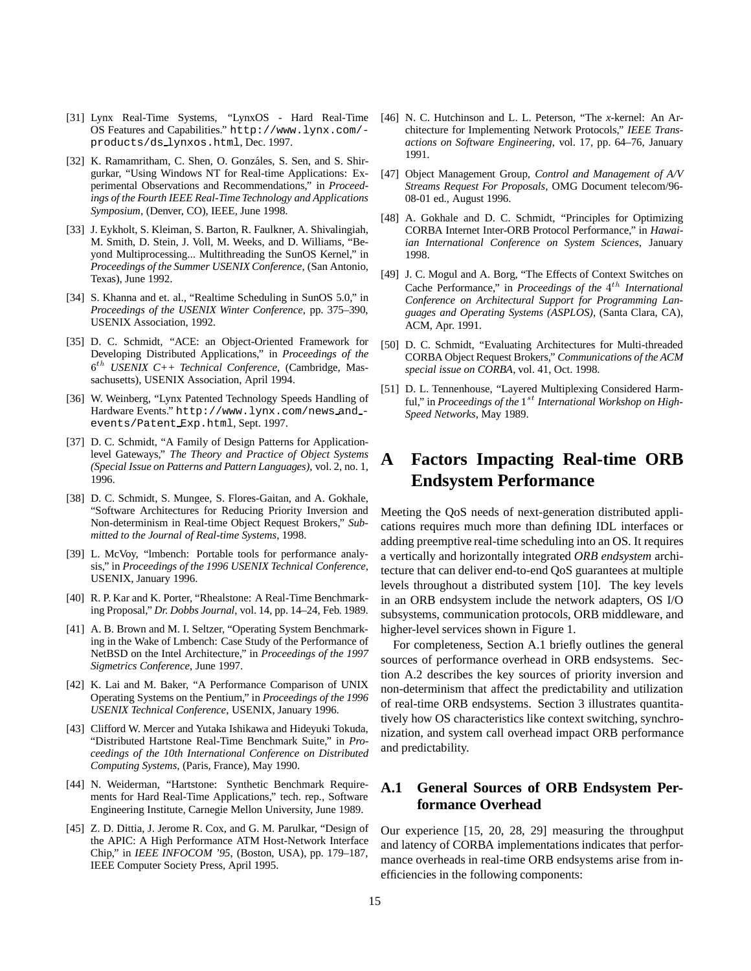- [31] Lynx Real-Time Systems, "LynxOS Hard Real-Time OS Features and Capabilities." http://www.lynx.com/ products/ds lynxos.html, Dec. 1997.
- [32] K. Ramamritham, C. Shen, O. Gonzáles, S. Sen, and S. Shirgurkar, "Using Windows NT for Real-time Applications: Experimental Observations and Recommendations," in *Proceedings of the Fourth IEEE Real-Time Technology and Applications Symposium*, (Denver, CO), IEEE, June 1998.
- [33] J. Eykholt, S. Kleiman, S. Barton, R. Faulkner, A. Shivalingiah, M. Smith, D. Stein, J. Voll, M. Weeks, and D. Williams, "Beyond Multiprocessing... Multithreading the SunOS Kernel," in *Proceedings of the Summer USENIX Conference*, (San Antonio, Texas), June 1992.
- [34] S. Khanna and et. al., "Realtime Scheduling in SunOS 5.0," in *Proceedings of the USENIX Winter Conference*, pp. 375–390, USENIX Association, 1992.
- [35] D. C. Schmidt, "ACE: an Object-Oriented Framework for Developing Distributed Applications," in *Proceedings of the* <sup>6</sup> th *USENIX C++ Technical Conference*, (Cambridge, Massachusetts), USENIX Association, April 1994.
- [36] W. Weinberg, "Lynx Patented Technology Speeds Handling of Hardware Events." http://www.lynx.com/news and events/Patent Exp.html, Sept. 1997.
- [37] D. C. Schmidt, "A Family of Design Patterns for Applicationlevel Gateways," *The Theory and Practice of Object Systems (Special Issue on Patterns and Pattern Languages)*, vol. 2, no. 1, 1996.
- [38] D. C. Schmidt, S. Mungee, S. Flores-Gaitan, and A. Gokhale, "Software Architectures for Reducing Priority Inversion and Non-determinism in Real-time Object Request Brokers," *Submitted to the Journal of Real-time Systems*, 1998.
- [39] L. McVoy, "Imbench: Portable tools for performance analysis," in *Proceedings of the 1996 USENIX Technical Conference*, USENIX, January 1996.
- [40] R. P. Kar and K. Porter, "Rhealstone: A Real-Time Benchmarking Proposal," *Dr. Dobbs Journal*, vol. 14, pp. 14–24, Feb. 1989.
- [41] A. B. Brown and M. I. Seltzer, "Operating System Benchmarking in the Wake of Lmbench: Case Study of the Performance of NetBSD on the Intel Architecture," in *Proceedings of the 1997 Sigmetrics Conference*, June 1997.
- [42] K. Lai and M. Baker, "A Performance Comparison of UNIX Operating Systems on the Pentium," in *Proceedings of the 1996 USENIX Technical Conference*, USENIX, January 1996.
- [43] Clifford W. Mercer and Yutaka Ishikawa and Hideyuki Tokuda, "Distributed Hartstone Real-Time Benchmark Suite," in *Proceedings of the 10th International Conference on Distributed Computing Systems*, (Paris, France), May 1990.
- [44] N. Weiderman, "Hartstone: Synthetic Benchmark Requirements for Hard Real-Time Applications," tech. rep., Software Engineering Institute, Carnegie Mellon University, June 1989.
- [45] Z. D. Dittia, J. Jerome R. Cox, and G. M. Parulkar, "Design of the APIC: A High Performance ATM Host-Network Interface Chip," in *IEEE INFOCOM '95*, (Boston, USA), pp. 179–187, IEEE Computer Society Press, April 1995.
- [46] N. C. Hutchinson and L. L. Peterson, "The *x*-kernel: An Architecture for Implementing Network Protocols," *IEEE Transactions on Software Engineering*, vol. 17, pp. 64–76, January 1991.
- [47] Object Management Group, *Control and Management of A/V Streams Request For Proposals*, OMG Document telecom/96- 08-01 ed., August 1996.
- [48] A. Gokhale and D. C. Schmidt, "Principles for Optimizing CORBA Internet Inter-ORB Protocol Performance," in *Hawaiian International Conference on System Sciences*, January 1998.
- [49] J. C. Mogul and A. Borg, "The Effects of Context Switches on Cache Performance," in *Proceedings of the* 4<sup>th</sup> International *Conference on Architectural Support for Programming Languages and Operating Systems (ASPLOS)*, (Santa Clara, CA), ACM, Apr. 1991.
- [50] D. C. Schmidt, "Evaluating Architectures for Multi-threaded CORBA Object Request Brokers," *Communications of the ACM special issue on CORBA*, vol. 41, Oct. 1998.
- [51] D. L. Tennenhouse, "Layered Multiplexing Considered Harmful," in *Proceedings of the*  $1^{st}$  *International Workshop on High-Speed Networks*, May 1989.

# **A Factors Impacting Real-time ORB Endsystem Performance**

Meeting the QoS needs of next-generation distributed applications requires much more than defining IDL interfaces or adding preemptive real-time scheduling into an OS. It requires a vertically and horizontally integrated *ORB endsystem* architecture that can deliver end-to-end QoS guarantees at multiple levels throughout a distributed system [10]. The key levels in an ORB endsystem include the network adapters, OS I/O subsystems, communication protocols, ORB middleware, and higher-level services shown in Figure 1.

For completeness, Section A.1 briefly outlines the general sources of performance overhead in ORB endsystems. Section A.2 describes the key sources of priority inversion and non-determinism that affect the predictability and utilization of real-time ORB endsystems. Section 3 illustrates quantitatively how OS characteristics like context switching, synchronization, and system call overhead impact ORB performance and predictability.

## **A.1 General Sources of ORB Endsystem Performance Overhead**

Our experience [15, 20, 28, 29] measuring the throughput and latency of CORBA implementations indicates that performance overheads in real-time ORB endsystems arise from inefficiencies in the following components: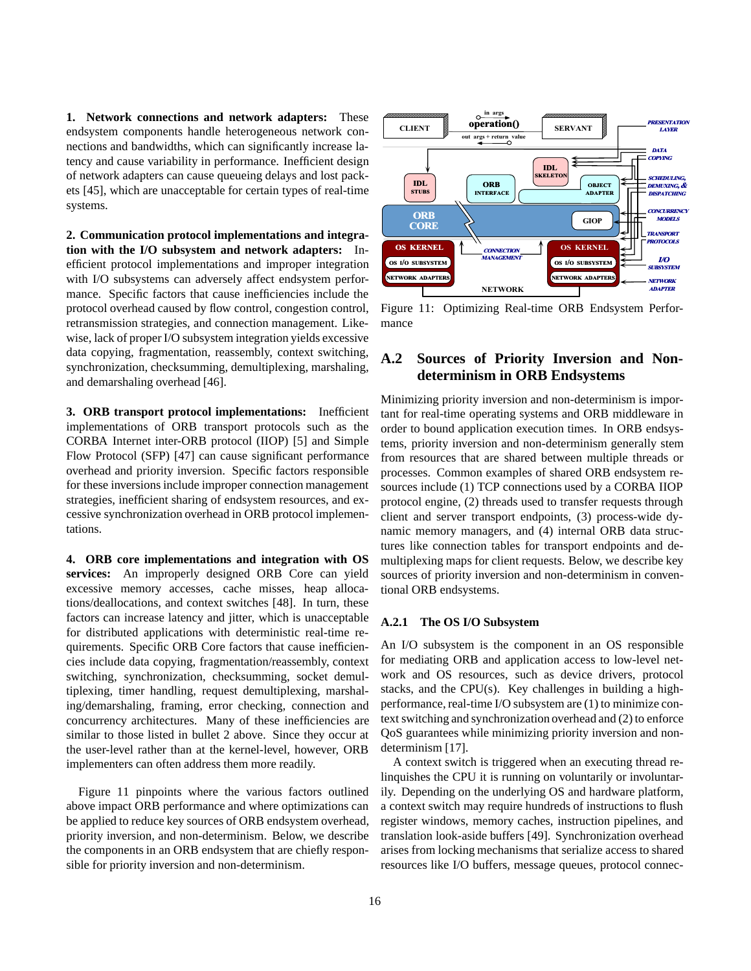**1. Network connections and network adapters:** These endsystem components handle heterogeneous network connections and bandwidths, which can significantly increase latency and cause variability in performance. Inefficient design of network adapters can cause queueing delays and lost packets [45], which are unacceptable for certain types of real-time systems.

**2. Communication protocol implementations and integration with the I/O subsystem and network adapters:** Inefficient protocol implementations and improper integration with I/O subsystems can adversely affect endsystem performance. Specific factors that cause inefficiencies include the protocol overhead caused by flow control, congestion control, retransmission strategies, and connection management. Likewise, lack of proper I/O subsystem integration yields excessive data copying, fragmentation, reassembly, context switching, synchronization, checksumming, demultiplexing, marshaling, and demarshaling overhead [46].

**3. ORB transport protocol implementations:** Inefficient implementations of ORB transport protocols such as the CORBA Internet inter-ORB protocol (IIOP) [5] and Simple Flow Protocol (SFP) [47] can cause significant performance overhead and priority inversion. Specific factors responsible for these inversions include improper connection management strategies, inefficient sharing of endsystem resources, and excessive synchronization overhead in ORB protocol implementations.

**4. ORB core implementations and integration with OS services:** An improperly designed ORB Core can yield excessive memory accesses, cache misses, heap allocations/deallocations, and context switches [48]. In turn, these factors can increase latency and jitter, which is unacceptable for distributed applications with deterministic real-time requirements. Specific ORB Core factors that cause inefficiencies include data copying, fragmentation/reassembly, context switching, synchronization, checksumming, socket demultiplexing, timer handling, request demultiplexing, marshaling/demarshaling, framing, error checking, connection and concurrency architectures. Many of these inefficiencies are similar to those listed in bullet 2 above. Since they occur at the user-level rather than at the kernel-level, however, ORB implementers can often address them more readily.

Figure 11 pinpoints where the various factors outlined above impact ORB performance and where optimizations can be applied to reduce key sources of ORB endsystem overhead, priority inversion, and non-determinism. Below, we describe the components in an ORB endsystem that are chiefly responsible for priority inversion and non-determinism.



Figure 11: Optimizing Real-time ORB Endsystem Performance

### **A.2 Sources of Priority Inversion and Nondeterminism in ORB Endsystems**

Minimizing priority inversion and non-determinism is important for real-time operating systems and ORB middleware in order to bound application execution times. In ORB endsystems, priority inversion and non-determinism generally stem from resources that are shared between multiple threads or processes. Common examples of shared ORB endsystem resources include (1) TCP connections used by a CORBA IIOP protocol engine, (2) threads used to transfer requests through client and server transport endpoints, (3) process-wide dynamic memory managers, and (4) internal ORB data structures like connection tables for transport endpoints and demultiplexing maps for client requests. Below, we describe key sources of priority inversion and non-determinism in conventional ORB endsystems.

#### **A.2.1 The OS I/O Subsystem**

An I/O subsystem is the component in an OS responsible for mediating ORB and application access to low-level network and OS resources, such as device drivers, protocol stacks, and the CPU(s). Key challenges in building a highperformance, real-time I/O subsystem are (1) to minimize context switching and synchronization overhead and (2) to enforce QoS guarantees while minimizing priority inversion and nondeterminism [17].

A context switch is triggered when an executing thread relinquishes the CPU it is running on voluntarily or involuntarily. Depending on the underlying OS and hardware platform, a context switch may require hundreds of instructions to flush register windows, memory caches, instruction pipelines, and translation look-aside buffers [49]. Synchronization overhead arises from locking mechanisms that serialize access to shared resources like I/O buffers, message queues, protocol connec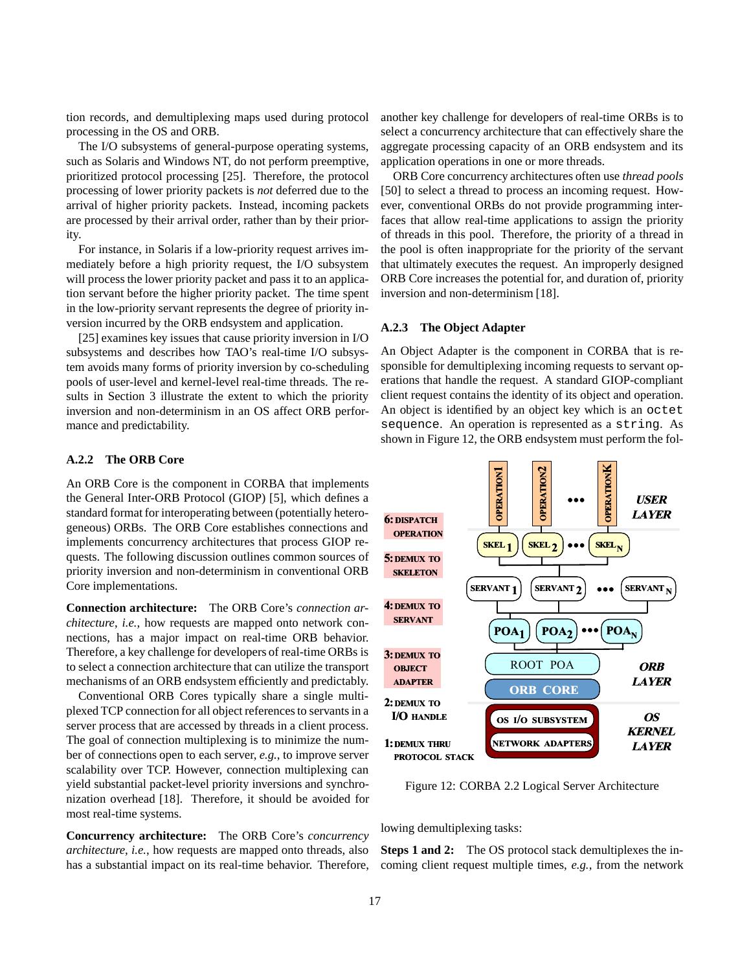tion records, and demultiplexing maps used during protocol processing in the OS and ORB.

The I/O subsystems of general-purpose operating systems, such as Solaris and Windows NT, do not perform preemptive, prioritized protocol processing [25]. Therefore, the protocol processing of lower priority packets is *not* deferred due to the arrival of higher priority packets. Instead, incoming packets are processed by their arrival order, rather than by their priority.

For instance, in Solaris if a low-priority request arrives immediately before a high priority request, the I/O subsystem will process the lower priority packet and pass it to an application servant before the higher priority packet. The time spent in the low-priority servant represents the degree of priority inversion incurred by the ORB endsystem and application.

[25] examines key issues that cause priority inversion in I/O subsystems and describes how TAO's real-time I/O subsystem avoids many forms of priority inversion by co-scheduling pools of user-level and kernel-level real-time threads. The results in Section 3 illustrate the extent to which the priority inversion and non-determinism in an OS affect ORB performance and predictability.

### **A.2.2 The ORB Core**

An ORB Core is the component in CORBA that implements the General Inter-ORB Protocol (GIOP) [5], which defines a standard format for interoperating between (potentially heterogeneous) ORBs. The ORB Core establishes connections and implements concurrency architectures that process GIOP requests. The following discussion outlines common sources of priority inversion and non-determinism in conventional ORB Core implementations.

**Connection architecture:** The ORB Core's *connection architecture*, *i.e.*, how requests are mapped onto network connections, has a major impact on real-time ORB behavior. Therefore, a key challenge for developers of real-time ORBs is to select a connection architecture that can utilize the transport mechanisms of an ORB endsystem efficiently and predictably.

Conventional ORB Cores typically share a single multiplexed TCP connection for all object references to servants in a server process that are accessed by threads in a client process. The goal of connection multiplexing is to minimize the number of connections open to each server, *e.g.*, to improve server scalability over TCP. However, connection multiplexing can yield substantial packet-level priority inversions and synchronization overhead [18]. Therefore, it should be avoided for most real-time systems.

**Concurrency architecture:** The ORB Core's *concurrency architecture*, *i.e.*, how requests are mapped onto threads, also has a substantial impact on its real-time behavior. Therefore, another key challenge for developers of real-time ORBs is to select a concurrency architecture that can effectively share the aggregate processing capacity of an ORB endsystem and its application operations in one or more threads.

ORB Core concurrency architectures often use *thread pools* [50] to select a thread to process an incoming request. However, conventional ORBs do not provide programming interfaces that allow real-time applications to assign the priority of threads in this pool. Therefore, the priority of a thread in the pool is often inappropriate for the priority of the servant that ultimately executes the request. An improperly designed ORB Core increases the potential for, and duration of, priority inversion and non-determinism [18].

### **A.2.3 The Object Adapter**

An Object Adapter is the component in CORBA that is responsible for demultiplexing incoming requests to servant operations that handle the request. A standard GIOP-compliant client request contains the identity of its object and operation. An object is identified by an object key which is an octet sequence. An operation is represented as a string. As shown in Figure 12, the ORB endsystem must perform the fol-



Figure 12: CORBA 2.2 Logical Server Architecture

lowing demultiplexing tasks:

**Steps 1 and 2:** The OS protocol stack demultiplexes the incoming client request multiple times, *e.g.*, from the network